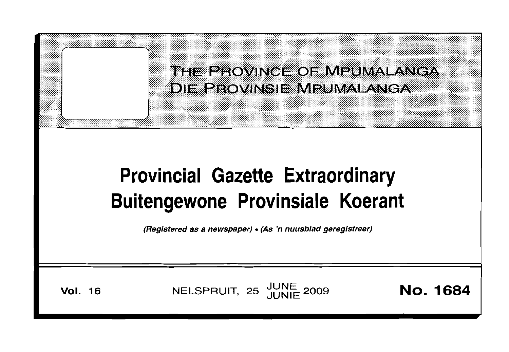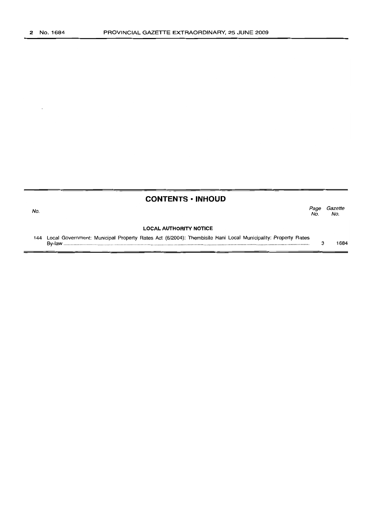No.

**CONTENTS • INHOUD**

Page Gazette<br>No. No. No. No.

# **LOCAL AUTHORITY NOTICE**

144 Local Government: Municipal Property Rates Act (6/2004): Thembisile Hani Local Municipality: Property Rates By-law . 3 1684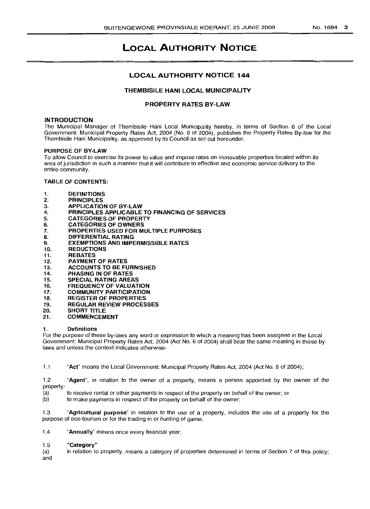# LOCAL AUTHORITY NOTICE

# LOCAL AUTHORITY NOTICE 144

# THEMBISILE HANI LOCAL MUNICIPALITY

# PROPERTY RATES BY-LAW

# **INTRODUCTION**

The Municipal Manager of Thembisile Hani Local Municipality hereby, in terms of Section 6 of the Local Government: Municipal Property Rates Act, 2004 (No.6 of 2004), publishes the Property Rates By-law for the Thembisile Hani Municipality, as approved by its Council as set out hereunder.

## PURPOSE OF BY-LAW

To allow Council to exercise its power to value and impose rates on immovable properties located within its area of jurisdiction in such a manner that it will contribute to effective and economic service delivery to the entire community.

# TABLE OF CONTENTS:

- 1. DEFINITIONS
- 2. PRINCIPLES
- 3. APPLICATION OF BY-LAW
- 4. PRINCIPLES APPLICABLE TO FINANCING OF SERVICES<br>5. CATEGORIES OF PROPERTY
- 5. CATEGORIES OF PROPERTY<br>6. CATEGORIES OF OWNERS
- 6. CATEGORIES OF OWNERS
- 7. PROPERTIES USED FOR MULTIPLE PURPOSES<br>8. DIFFERENTIAL RATING
- 8. DIFFERENTIAL RATING
- **EXEMPTIONS AND IMPERMISSIBLE RATES**
- 10. REDUCTIONS
- 11. REBATES<br>12. PAYMENT
- PAYMENT OF RATES
- 13. ACCOUNTS TO BE FURNISHED
- 14. PHASING IN OF RATES
- 15. SPECIAL RATING AREAS<br>16. FREQUENCY OF VALUAT
- **FREQUENCY OF VALUATION**
- 17. COMMUNITY PARTICIPATION
- 18. REGISTER OF PROPERTIES<br>19. REGULAR REVIEW PROCES
- 19. REGULAR REVIEW PROCESSES
- 20. SHORT TITLE
- 21. COMMENCEMENT

## 1. Definitions

For the purpose of these by-laws any word or expression to which a meaning has been assigned in the Local Government: Municipal Property Rates Act, 2004 (Act No.6 of 2004) shall bear the same meaning in these bylaws and unless the context indicates otherwise-

1.1 "Act" means the Local Government: Municipal Property Rates Act, 2004 (Act NO.6 of 2004);

1.2 "Agent", in relation to the owner of a property, means a person appointed by the owner of the property-

(a) to receive rental or other payments in respect of the property on behalf of the owner; or

(b) to make payments in respect of the property on behalf of the owner;

1.3 "Agricultural purpose" in relation to the use of a property, includes the use of a property for the purpose of eco-tourism or for the trading in or hunting of game;

1.4 "Annually" means once every financial year;

## 1.5 "Category"

(a) in relation to property, means a category of properties determined in terms of Section 7 of this policy; and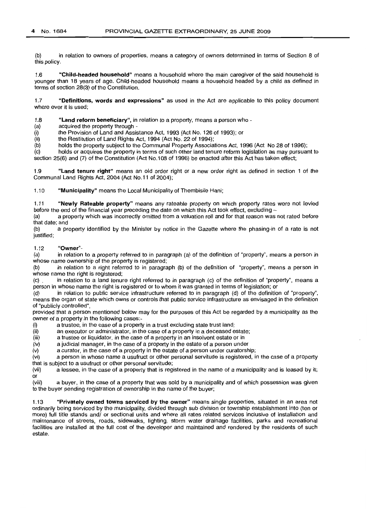(b) in relation to owners of properties, means a category of owners determined in terms of Section 8 of this policy.

1.6 "Child-headed household" means a household where the main caregiver of the said household is younger than 18 years of age. Child-headed household means a household headed by a child as defined in terms of section 28(3) of the Constitution.

1.7 ""Definitions, words and expressions" as used in the Act are applicable to this policy document where ever it is used;

1.8 "Land reform beneficiary", in relation to a property, means a person who -

(a) acquired the property through -

(i) the Provision of Land and Assistance Act, 1993 (Act No. 126 of 1993); or

(ii) the Restitution of Land Rights Act, 1994 (Act No. 22 of 1994);<br>(b) holds the property subject to the Communal Property Associa

holds the property subject to the Communal Property Associations Act, 1996 (Act No 28 of 1996);

(c) holds or acquires the property in terms of such other land tenure reform legislation as may pursuant to section 25(6) and (7) of the Constitution (Act No.108 of 1996) be enacted after this Act has taken effect;

1.9 "Land tenure right" means an old order right or a new order right as defined in section 1 of the Communal Land Rights Act, 2004 (Act No.11 of 2004);

1.10 "Municipality" means the Local Municipality of Thembisile Hani;

1.11 "Newly Rateable property" means any rateable property on which property rates were not levied before the end of the financial year preceding the date on which this Act took effect, excluding -

(a) a property which was incorrectly omitted from a valuation roll and for that reason was not rated before that date; and

(b) a property identified by the Minister by notice in the Gazette where the phasing-in of a rate is not justified;

## 1.12 "Owner"-

(a) in relation to a property referred to in paragraph (a) of the definition of "property", means a person in whose name ownership of the property is registered;

(b) in relation to a right referred to in paragraph (b) of the definition of "property", means a person in whose name the right is registered;

(c) . in relation to a land tenure right referred to in paragraph (c) of the definition of "property", means a person in whose name the right is registered or to whom it was granted in terms of legislation; or

(d) in relation to public service infrastructure referred to in paragraph (d) of the definition of "property", means the organ of state which owns or controls that public service infrastructure as envisaged in the definition of "publicly controlled",

provided that a person mentioned below may for the purposes of this Act be regarded by a municipality as the owner of a property in the following cases:-

(i) a trustee, in the case of a property in a trust excluding state trust land;<br>(ii) an executor or administrator, in the case of a property in a deceased e

(ii) an executor or administrator, in the case of a property in a deceased estate;<br>(iii) a trustee or liquidator, in the case of a property in an insolvent estate or in

a trustee or liquidator, in the case of a property in an insolvent estate or in

(iv) a judicial manager, in the case of a property in the estate of a person under

 $(v)$  a curator, in the case of a property in the estate of a person under curatorship;<br>(vi) a person in whose name a usufruct or other personal servitude is registered, in

a person in whose name a usufruct or other personal servitude is registered, in the case of a property that is subject to a usufruct or other personal servitude;

(vii) a lessee, in the case of a property that is registered in the name of a municipality and is leased by it;

or<br>(viii) a buyer, in the case of a property that was sold by a municipality and of which possession was given to the buyer pending registration of ownership in the name of the buyer;

1.13 "Privately owned towns serviced by the owner" means single properties, situated in an area not ordinarily being serviced by the municipality, divided through sub division or township establishment into (ten or more) full title stands and/ or sectional units and where all rates related services inclusive of installation and maintenance of streets, roads, sidewalks, lighting, storm water drainage facilities, parks and recreational facilities are installed at the full cost of the developer and maintained and rendered by the residents of such estate.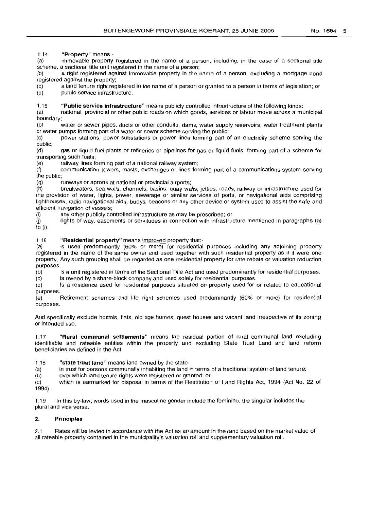1.14 "Property" means -

(a) immovable property registered in the name of a person, including, in the case of a sectional title scheme, a sectional title unit registered in the name of a person;

(b) a right registered against immovable property in the name of a person, excluding a mortgage bond registered against the property;

(c) a land tenure right registered in the name of a person or granted to a person in terms of legislation; or (d) public service infrastructure. public service infrastructure.

## 1.15 "Public service infrastructure" means publicly controlled infrastructure of the following kinds:

(a) national, provincial or other public roads on which goods, services or labour move across a municipal boundary;

(b) water or sewer pipes, ducts or other conduits, dams, water supply reservoirs, water treatment plants or water pumps forming part of a water or sewer scheme serving the public;

(c) power stations, power substations or power lines forming part of an electricity scheme serving the public;

(d) gas or liquid fuel plants or refineries or pipelines for gas or liquid fuels, forming part of a scheme for transporting such fuels;

(e) railway lines forming part of a national railway system;<br>(f) communication towers, masts, exchanges or lines for communication towers, masts, exchanges or lines forming part of a communications system serving the public;

(g) runways or aprons at national or provincial airports;

(h) breakwaters, sea walls, channels, basins, quay walls, jetties, roads, railway or infrastructure used for the provision of water, lights, power, sewerage or similar services of ports, or navigational aids comprising lighthouses, radio navigational aids, buoys, beacons or any other device or system used to assist the safe and efficient navigation of vessels;

(i) any other publicly controlled infrastructure as may be prescribed; or<br>(i) rights of way, easements or servitudes in connection with infrastru

rights of way, easements or servitudes in connection with infrastructure mentioned in paragraphs (a) to (i).

# 1.16 "Residential property" means improved property that:-

(a) is used predominantly (60% or more) for residential purposes including any adjoining property registered in the name of the same owner and used together with such residential property as if it were one property. Any such grouping shall be regarded as one residential property for rate rebate or valuation reduction purposés.<br>(b)

Is a unit registered in terms of the Sectional Title Act and used predominantly for residential purposes.

(c) Is owned by a share-block company and used solely for residential purposes.

(d) Is a residence used for residential purposes situated on property used for or related to educational purposes.

(e) Retirement schemes and life right schemes used predominantly (60% or more) for residential purposes.

And specifically exclude hostels, flats, old age homes, guest houses and vacant land irrespective of its zoning or intended use.

1.17 "Rural communal settlements" means the residual portion of rural communal land excluding identifiable and rateable entities within the property and excluding State Trust Land and land reform beneficiaries as defined in the Act.

1.18 "state trust land" means land owned by the state-

(a) in trust for persons communally inhabiting the land in terms of a traditional system of land tenure;

 $(b)$ over which land tenure rights were registered or granted; or

(c) 1994). which is earmarked for disposal in terms of the Restitution of Land Rights Act, 1994 (Act No. 22 of

1.19 In this by-law, words used in the masculine gender include the feminine, the singular includes the plural and vice versa.

# 2. Principles

2.1 Rates will be levied in accordance with the Act as an amount in the rand based on the market value of all rateable property contained in the municipality's valuation roll and supplementary valuation roll.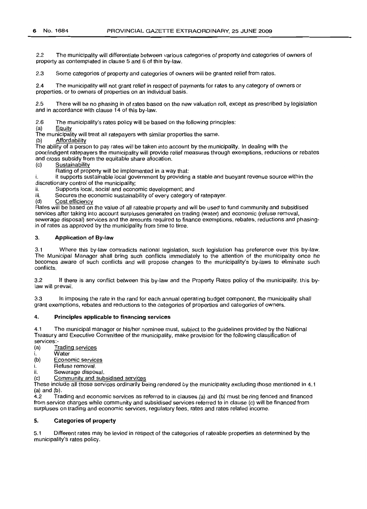2.2 The municipality will differentiate between various categories of property and categories of owners of property as contemplated in clause 5 and 6 of this by-law.

2.3 Some categories of property and categories of owners will be granted relief from rates.

2.4 The municipality will not grant relief in respect of payments for rates to any category of owners or properties, or to owners of properties on an individual basis.

2.5 There will be no phasing in of rates based on the new valuation roll, except as prescribed by legislation and in accordance with clause 14 of this by-law.

2.6 The municipality's rates policy will be based on the following principles:<br>(a) Equity

**Equity** 

The municipality will treat all ratepayers with similar properties the same.

(b) Affordability

The ability of a person to pay rates will be taken into account by the municipality. In dealing with the poor/indigent ratepayers the municipality will provide relief measures through exemptions, reductions or rebates and cross subsidy from the equitable share allocation.

(c) Sustainability

Rating of property will be implemented in a way that:

i. it supports sustainable local government by providing a stable and buoyant revenue source within the discretionary control of the municipality;

ii. Supports local, social and economic development; and<br>iii. Secures the economic sustainability of every category

iii. Secures the economic sustainability of every category of ratepayer.<br>(d) Cost efficiency

Cost efficiency

Rates will be based on the value of all rateable property and will be used to fund community and subsidised services after taking into account surpluses generated on trading (water) and economic (refuse removal, sewerage disposal) services and the amounts required to finance exemptions, rebates, reductions and phasingin of rates as approved by the municipality from time to time.

# 3. Application of By-law

3.1 Where this by-law contradicts national legislation, such legislation has preference over this by-law. The Municipal Manager shall bring such conflicts immediately to the attention of the municipality once he becomes aware of such conflicts and will propose changes to the municipality's by-laws to eliminate such conflicts.

3.2 If there is any conflict between this by-law and the Property Rates policy of the municipality, this bylaw will prevail.

3.3 In imposing the rate in the rand for each annual operating budget component, the municipality shall grant exemptions, rebates and reductions to the categories of properties and categories of owners.

#### 4. Principles applicable to financing services

4.1 The municipal manager or his/her nominee must, subject to the guidelines provided by the National Treasury and Executive Committee of the municipality, make provision for the following classification of

services:-<br>(a) T **Trading services** 

i. Water<br>(b) Econo

Economic services

- i. Refuse removal.<br>ii. Sewerage dispos
- Sewerage disposal.

(c) Community and subsidised services

These include all those services ordinarily being rendered by the municipality excluding those mentioned in 4.1

(a) and (b). 4.2 Trading and economic services as referred to in clauses (a) and (b) must be ring fenced and financed from service charges while community and subsidised services referred to in clause (c) will be financed from surpluses on trading and economic services, regulatory fees, rates and rates related income.

## 5. Categories of property

5.1 Different rates may be levied in respect of the categories of rateable properties as determined by the municipality's rates policy.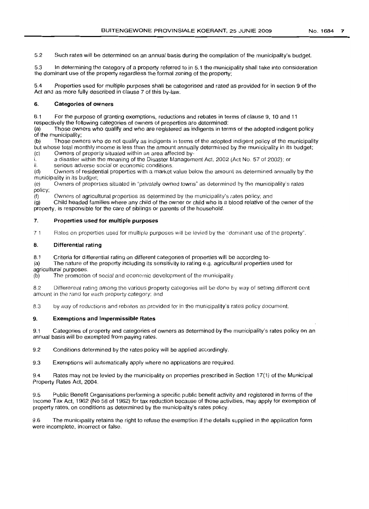5.2 Such rates will be determined on an annual basis during the compilation of the municipality's budget.

5.3 In determining the category of a property referred to in 5.1 the municipality shall take into consideration the dominant use of the property regardless the formal zoning of the property;

5.4 Properties used for multiple purposes shall be categorised and rated as provided for in section 9 of the Act and as more fully described in clause 7 of this by-law.

## 6. **Categories of owners**

6.1 For the purpose of granting exemptions, reductions and rebates in terms of clause 9, 10 and 11 respectively the following categories of owners of properties are determined:

(a) Those owners who qualify and who are registered as indigents in terms of the adopted indigent policy of the municipality;<br>(b) Those own

Those owners who do not qualify as indigents in terms of the adopted indigent policy of the municipality but whose total monthly income is less than the amount annually determined by the municipality in its budget;<br>(c) Owners of property situated within an area affected by-Owners of property situated within an area affected by-

i. a disaster within the meaning of the Disaster Management Act, 2002 (Act No. 57 of 2002); or

ii. serious adverse social or economic conditions.

(d) Owners of residential properties with a market value below the amount as determined annually by the rnunicipality in its budget;

(e) Owners of properties situated in "privately owned towns" as determined by the municipality's rates policy;<br>(f)

Owners of agricultural properties as determined by the municipality's rates policy; and

(g) Child headed families where any child of the owner or child who is a blood relative of the owner of the property, is responsible for the care of siblings or parents of the household.

#### 7. **Properties** used **for multiple purposes**

7 1 Rates on properties used for multiple purposes will be levied by the "dominant use of the property".

# 8. **Differential rating**

8.1 Criteria for differential rating on different categories of properties will be according to-

(a) The nature of the property including its sensitivity to rating e.g. agricultural properties used for agricultural purposes.<br>(b) The promotio

The promotion of social and economic development of the municipality.

8.2 Differential rating among the various property categories will be done by way of setting different cent amount in the rand for each property category; and

83 by way of reductions and rebates as provided for in the municipality's rates policy document.

#### 9. **Exemptions and Impermissible Rates**

9.1 Categories of property and categories of owners as determined by the municipality's rates policy on an annual basis will be exempted from paying rates.

9.2 Conditions determined by the rates policy will be applied accordingly.

9.3 Exemptions will automatically apply where no applications are required.

9.4 Rates may not be levied by the municipality on properties prescribed in Section 17(1) of the Municipal Property Rates Act, 2004.

9.5 Public Benefit Organisations performing a specific public benefit activity and registered in terms of the Income Tax Act, 1962 (No 58 of 1962) for tax reduction because of those activities, may apply for exemption of property rates, on conditions as determined by the municipality's rates policy.

9.6 The municipality retains the right to refuse the exemption if the details supplied in the application form were incomplete, incorrect or false.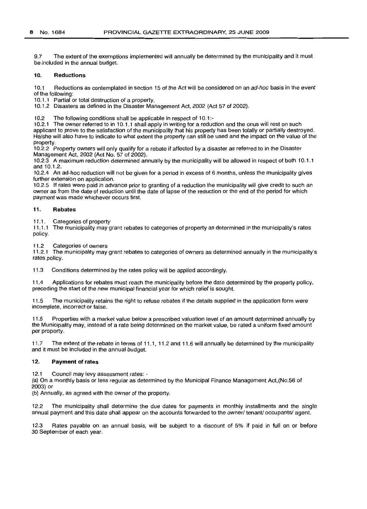9.7 The extent of the exemptions implemented will annually be determined by the municipality and it must be included in the annual budget.

#### 10. **Reductions**

10.1 Reductions as contemplated in section 15 of the Act will be considered on an ad-hoc basis in the event of the following:

10.1.1 Partial or total destruction of a property.

10.1.2 Disasters as defined in the Disaster Management Act, 2002 (Act 57 of 2002).

10.2 The following conditions shall be applicable in respect of 10.1:-

10.2.1 The owner referred to in 10.1.1 shall apply in writing for a reduction and the onus will rest on such applicant to prove to the satisfaction of the municipality that his property has been totally or partially destroyed. He/she will also have to indicate to what extent the property can still be used and the impact on the value of the property.

10.2.2 Property owners will only qualify for a rebate if affected by a disaster as referred to in the Disaster Management Act, 2002 (Act No. 57 of 2002).

10.2.3 A maximum reduction determined annually by the municipality will be allowed in respect of both 10.1.1 and 10.1.2.

10.2.4 An ad-hoc reduction will not be given for a period in excess of 6 months, unless the municipality gives further extension on application.

10.2.5 If rates were paid in advance prior to granting of a reduction the municipality will give credit to such an owner as from the date of reduction until the date of lapse of the reduction or the end of the period for which payment was made whichever occurs first.

## 11. **Rebates**

11.1. Categories of property

11.1.1 The municipality may grant rebates to categories of property as determined in the municipality's rates policy.

11.2 Categories of owners

11.2.1 The municipality may grant rebates to categories of owners as determined annually in the municipality's rates policy.

11.3 Conditions determined by the rates policy will be applied accordingly.

11.4 Applications for rebates must reach the municipality before the date determined by the property policy, preceding the start of the new municipal financial year for which relief is sought.

11.5 The municipality retains the right to refuse rebates if the details supplied in the application form were incomplete, incorrect or false.

11.6 Properties with a market value below a prescribed valuation level of an amount determined annually by the Municipality may, instead of a rate being determined on the market value, be rated a uniform fixed amount per property.

11.7 The extent of the rebate in terms of 11.1, 11.2 and 11.6 will annually be determined by the municipality and it must be included in the annual budget.

#### 12. **Payment of rates**

12.1 Council may levy assessment rates: -

(a) On a monthly basis or less regular as determined by the Municipal Finance Management Act,(No.56 of 2003) or

(b) Annually, as agreed with the owner of the property.

12.2 The municipality shall determine the due dates for payments in monthly installments and the single annual payment and this date shall appear on the accounts forwarded to the owner/ tenant/ occupants/ agent.

12.3 Rates payable on an annual basis, will be subject to a discount of 5% if paid in full on or before 30 September of each year.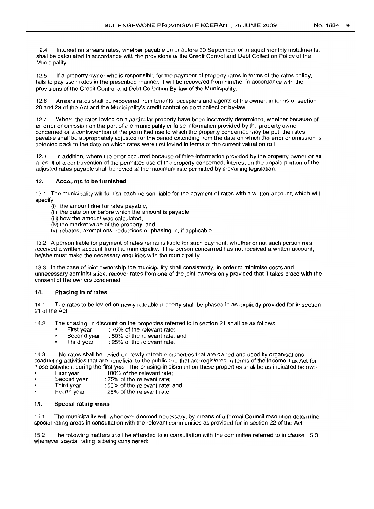12.4 Interest on arrears rates, whether payable on or before 30 September or in equal monthly instalments, shall be calculated in accordance with the provisions of the Credit Control and Debt Collection Policy of the Municipality.

12.5 If a property owner who is responsible for the payment of property rates in terms of the rates policy, fails to pay such rates in the prescribed manner, it will be recovered from him/her in accordance with the provisions of the Credit Control and Debt Collection By-law of the Municipality.

12.6 Arrears rates shall be recovered from tenants, occupiers and agents of the owner, in terms of section 28 and 29 of the Act and the Municipality's credit control en debt collection by-law.

12.7 Where the rates levied on a particular property have been incorrectly determined, whether because of an error or omission on the part of the municipality or false information provided by the property owner concerned or a contravention of the permitted use to which the property concerned may be put, the rates payable shall be appropriately adjusted for the period extending from the date on which the error or omission is detected back to the date on which rates were first levied in terms of the current valuation roll.

12.8 In addition, where the error occurred because of false information provided by the property owner or as a result of a contravention of the permitted use of the property concerned, interest on the unpaid portion of the adjusted rates payable shall be levied at the maximum rate permitted by prevailing legislation.

# 13. Accounts to be furnished

13.1 The municipality will furnish each person liable for the payment of rates with a written account, which will specify:

- (i) the amount due for rates payable,
- (ii) the date on or before which the amount is payable,
- (iii) how the amount was calculated,
- (iv) the market value of the property, and
- (v) rebates, exemptions, reductions or phasing-in, if applicable.

13.2 A person liable for payment of rates remains liable for such payment, whether or not such person has received a written account from the municipality. If the person concerned has not received a written account, he/she must make the necessary enquiries with the municipality.

13.3 In the case of joint ownership the municipality shall consistently, in order to minimise costs and unnecessary administration, recover rates from one of the joint owners only provided that it takes place with the consent of the owners concerned.

# 14. Phasing in of rates

14.1 The rates to be levied on newly rateable property shall be phased in as explicitly provided for in section 21 of the Act.

14.2 The phasing-in discount on the properties referred to in section 21 shall be as follows:<br>First year : 75% of the relevant rate;

- 
- First year : 75% of the relevant rate;<br>Second year : 50% of the relevant rate; : 50% of the relevant rate; and  $\blacksquare$
- Third year  $\therefore$  25% of the relevant rate.  $\blacksquare$

14.3 No rates shall be levied on newly rateable properties that are owned and used by organisations conducting activities that are beneficial to the public and that are registered in terms of the Income Tax Act for those activities, during the first year. The phasing-in discount on these properties shall be as indicated below:-<br>First year :100% of the relevant rate;

- First year :100% of the relevant rate;<br>Second year : 75% of the relevant rate;
- : 75% of the relevant rate;  $\blacksquare$
- Third year : 50% of the relevant rate; and
- Fourth year : 25% of the relevant rate.  $\blacksquare$

# 15. Special rating areas

15.1 The municipality will, whenever deemed necessary, by means of a formal Council resolution determine special rating areas in consultation with the relevant communities as provided for in section 22 of the Act.

15.2 The following matters shall be attended to in consultation with the committee referred to in clause 15.3 whenever special rating is being considered: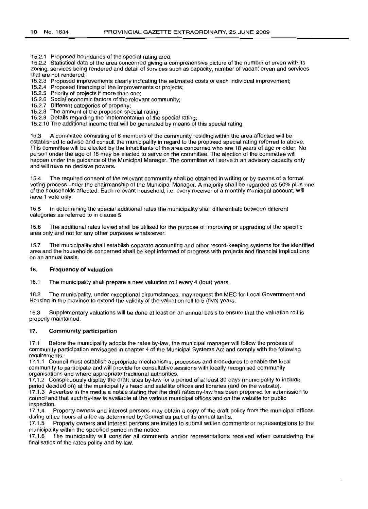15.2.1 Proposed boundaries of the special rating area;

15.2.2 Statistical data of the area concerned giving a comprehensive picture of the number of erven with its zoning, services being rendered and detail of services such as capacity, number of vacant erven and services that are not rendered;

15.2.3 Proposed improvements clearly indicating the estimated costs of each individual improvement;

15.2.4 Proposed financing of the improvements or projects;

15.2.5 Priority of projects if more than one;

15.2.6 Social economic factors of the relevant community;

15.2.7 Different categories of property;

15.2.8 The amount of the proposed special rating;

15.2.9 Details regarding the implementation of the special rating;

15.2.10 The additional income that will be generated by means of this special rating.

15.3 A committee consisting of 6 members of the community residing within the area affected will be established to advise and consult the municipality in regard to the proposed special rating referred to above. This committee will be elected by the inhabitants of the area concerned who are 18 years of age or older. No person under the age of 18 may be elected to serve on the committee. The election of the committee will happen under the guidance of the Municipal Manager. The committee will serve in an advisory capacity only and will have no decisive powers.

15.4 The required consent of the relevant community shall be obtained in writing or by means of a formal voting process under the chairmanship of the Municipal Manager. A majority shall be regarded as 50% plus one of the households affected. Each relevant household, i.e, every receiver of a monthly municipal account, will have 1 vote only.

15.5 In determining the special additional rates the municipality shall differentiate between different categories as referred to in clause 5.

15.6 The additional rates levied shall be utilised for the purpose of improving or upgrading of the specific area only and not for any other purposes whatsoever.

15.7 The municipality shall establish separate accounting and other record-keeping systems for the identified area and the households concerned shall be kept informed of progress with projects and financial implications on an annual basis.

#### 16. **Frequency of valuation**

16.1 The municipality shall prepare a new valuation roll every 4 (four) years.

16.2 The municipality, under exceptional circumstances, may request the MEC for Local Government and Housing in the province to extend the validity of the valuation roll to 5 (five) years.

16.3 Supplementary valuations will be done at least on an annual basis to ensure that the valuation roll is properly maintained.

#### 17. **Community participation**

17.1 Before the municipality adopts the rates by-law, the municipal manager will follow the process of community participation envisaged in chapter 4 of the Municipal Systems Act and comply with the following requirements:

17.1.1 Council must establish appropriate mechanisms, processes and procedures to enable the local community to participate and will provide for consultative sessions with locally recognised community organisations and where appropriate traditional authorities.

17.1.2 Conspicuously display the draft rates by-law for a period of at least 30 days (municipality to include period decided on) at the municipality's head and satellite offices and libraries (and on the website). 17.1.3 Advertise in the media a notice stating that the draft rates by-law has been prepared for submission to council and that such by-law is available at the various municipal offices and on the website for public inspection.<br>17.1.4 P

Property owners and interest persons may obtain a copy of the draft policy from the municipal offices during office hours at a fee as determined by Council as part of its annual tariffs.

17.1.5 Property owners and interest persons are invited to submit written comments or representations to the municipality within the specified period in the notice.

17.1.6 The municipality will consider all comments and/or representations received when considering the finalisation of the rates policy and by-law.